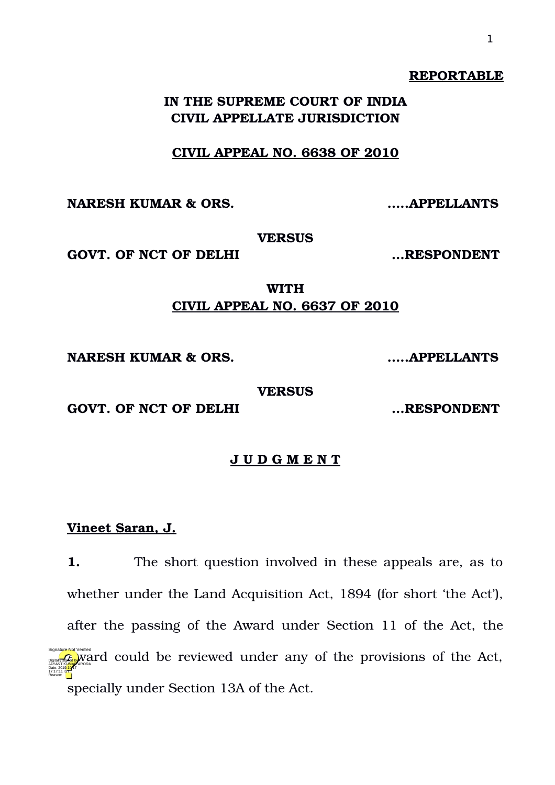#### **REPORTABLE**

# **IN THE SUPREME COURT OF INDIA CIVIL APPELLATE JURISDICTION**

### **CIVIL APPEAL NO. 6638 OF 2010**

**NARESH KUMAR & ORS. …..APPELLANTS**

**VERSUS**

GOVT. OF NCT OF DELHI  $\ldots$ **RESPONDENT** 

**WITH CIVIL APPEAL NO. 6637 OF 2010**

**NARESH KUMAR & ORS. …..APPELLANTS**

**VERSUS**

GOVT. OF NCT OF DELHI  $...$ RESPONDENT

## **J U D G M E N T**

### **Vineet Saran, J.**

**1.** The short question involved in these appeals are, as to whether under the Land Acquisition Act, 1894 (for short 'the Act'), after the passing of the Award under Section 11 of the Act, the  $\mathcal{A}_{\text{max}}$  ward could be reviewed under any of the provisions of the Act, specially under Section 13A of the Act. Date: 2019.10.17 17:17:11 IST Reason: Signature Not Verified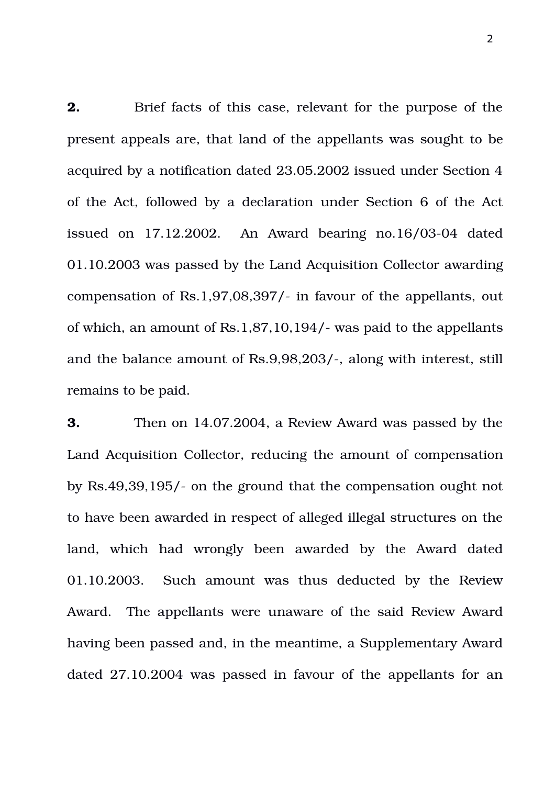**2.** Brief facts of this case, relevant for the purpose of the present appeals are, that land of the appellants was sought to be acquired by a notification dated 23.05.2002 issued under Section 4 of the Act, followed by a declaration under Section 6 of the Act issued on  $17.12.2002$ . An Award bearing  $no.16/03-04$  dated 01.10.2003 was passed by the Land Acquisition Collector awarding compensation of Rs.1,97,08,397/ in favour of the appellants, out of which, an amount of Rs.1,87,10,194/ was paid to the appellants and the balance amount of Rs.9,98,203/-, along with interest, still remains to be paid.

**3.** Then on 14.07.2004, a Review Award was passed by the Land Acquisition Collector, reducing the amount of compensation by Rs.49,39,195/ on the ground that the compensation ought not to have been awarded in respect of alleged illegal structures on the land, which had wrongly been awarded by the Award dated 01.10.2003. Such amount was thus deducted by the Review Award. The appellants were unaware of the said Review Award having been passed and, in the meantime, a Supplementary Award dated 27.10.2004 was passed in favour of the appellants for an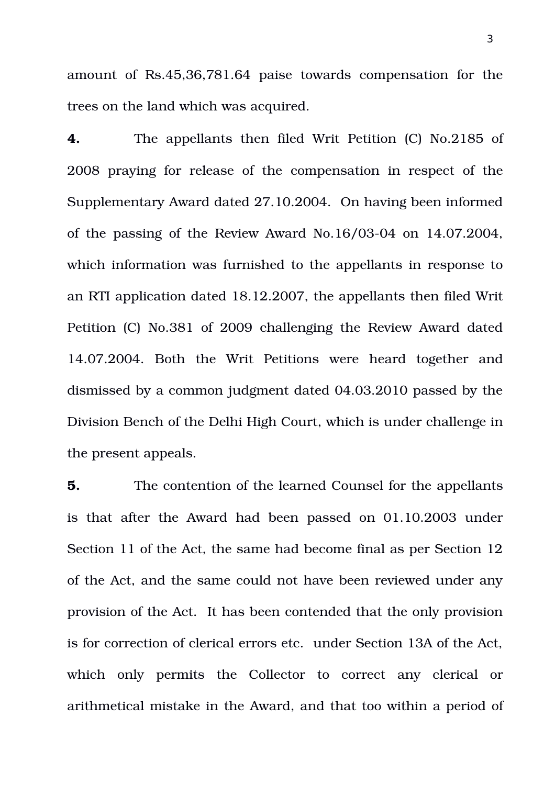amount of Rs.45,36,781.64 paise towards compensation for the trees on the land which was acquired.

**4.** The appellants then filed Writ Petition (C) No.2185 of 2008 praying for release of the compensation in respect of the Supplementary Award dated 27.10.2004. On having been informed of the passing of the Review Award No.16/03-04 on  $14.07.2004$ , which information was furnished to the appellants in response to an RTI application dated 18.12.2007, the appellants then filed Writ Petition (C) No.381 of 2009 challenging the Review Award dated 14.07.2004. Both the Writ Petitions were heard together and dismissed by a common judgment dated 04.03.2010 passed by the Division Bench of the Delhi High Court, which is under challenge in the present appeals.

**5.** The contention of the learned Counsel for the appellants is that after the Award had been passed on 01.10.2003 under Section 11 of the Act, the same had become final as per Section 12 of the Act, and the same could not have been reviewed under any provision of the Act. It has been contended that the only provision is for correction of clerical errors etc. under Section 13A of the Act, which only permits the Collector to correct any clerical or arithmetical mistake in the Award, and that too within a period of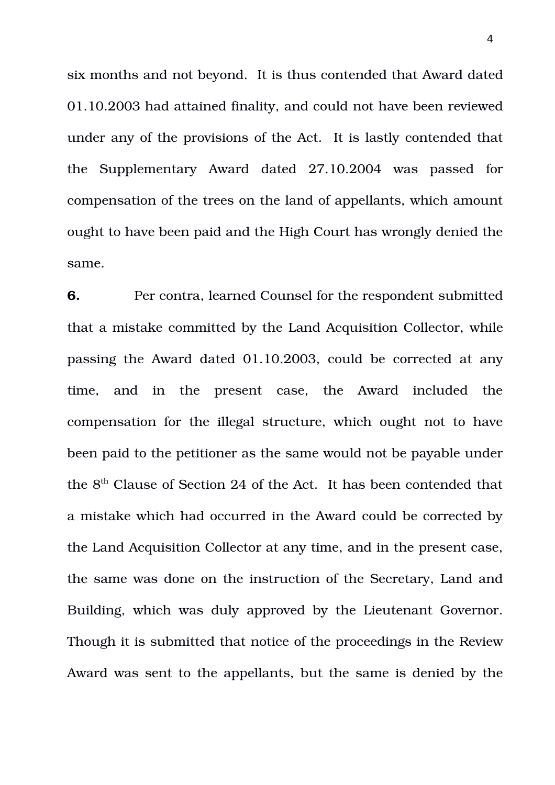six months and not beyond. It is thus contended that Award dated 01.10.2003 had attained finality, and could not have been reviewed under any of the provisions of the Act. It is lastly contended that the Supplementary Award dated 27.10.2004 was passed for compensation of the trees on the land of appellants, which amount ought to have been paid and the High Court has wrongly denied the same.

**6.** Per contra, learned Counsel for the respondent submitted that a mistake committed by the Land Acquisition Collector, while passing the Award dated 01.10.2003, could be corrected at any time, and in the present case, the Award included the compensation for the illegal structure, which ought not to have been paid to the petitioner as the same would not be payable under the  $8<sup>th</sup>$  Clause of Section 24 of the Act. It has been contended that a mistake which had occurred in the Award could be corrected by the Land Acquisition Collector at any time, and in the present case, the same was done on the instruction of the Secretary, Land and Building, which was duly approved by the Lieutenant Governor. Though it is submitted that notice of the proceedings in the Review Award was sent to the appellants, but the same is denied by the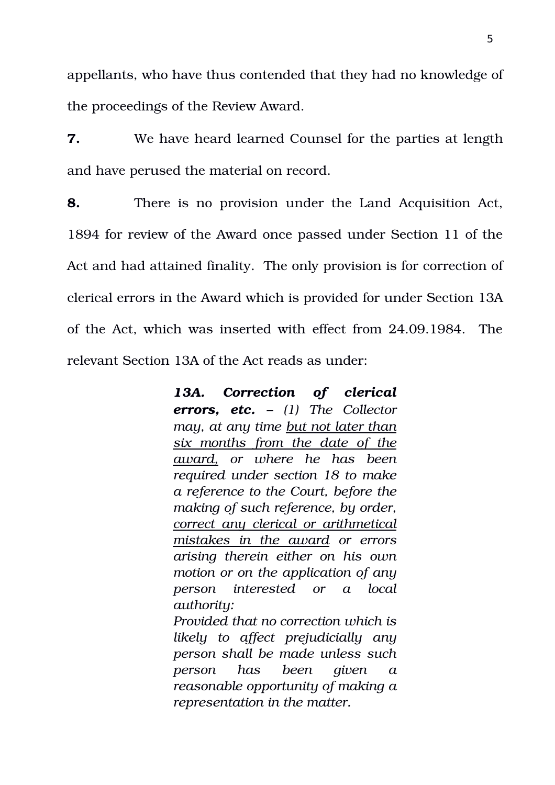appellants, who have thus contended that they had no knowledge of the proceedings of the Review Award.

**7.** We have heard learned Counsel for the parties at length and have perused the material on record.

**8.** There is no provision under the Land Acquisition Act, 1894 for review of the Award once passed under Section 11 of the Act and had attained finality. The only provision is for correction of clerical errors in the Award which is provided for under Section 13A of the Act, which was inserted with effect from 24.09.1984. The relevant Section 13A of the Act reads as under:

> *13A. Correction of clerical errors, etc. – (1) The Collector may, at any time but not later than six months from the date of the award, or where he has been required under section 18 to make a reference to the Court, before the making of such reference, by order, correct any clerical or arithmetical mistakes in the award or errors arising therein either on his own motion or on the application of any person interested or a local authority: Provided that no correction which is*

> *likely to affect prejudicially any person shall be made unless such person has been given a reasonable opportunity of making a representation in the matter.*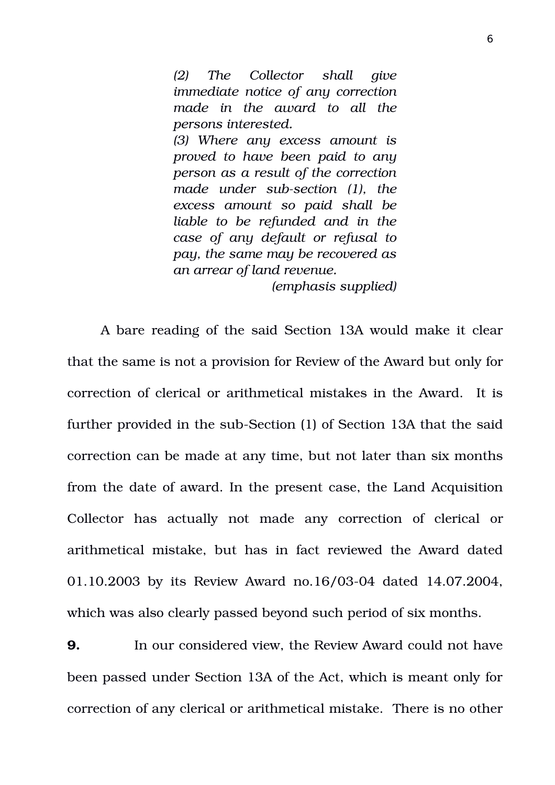*(2) The Collector shall give immediate notice of any correction made in the award to all the persons interested. (3) Where any excess amount is proved to have been paid to any person as a result of the correction* made under sub-section (1), the *excess amount so paid shall be liable to be refunded and in the case of any default or refusal to pay, the same may be recovered as an arrear of land revenue.*

*(emphasis supplied)*

A bare reading of the said Section 13A would make it clear that the same is not a provision for Review of the Award but only for correction of clerical or arithmetical mistakes in the Award. It is further provided in the sub-Section (1) of Section 13A that the said correction can be made at any time, but not later than six months from the date of award. In the present case, the Land Acquisition Collector has actually not made any correction of clerical or arithmetical mistake, but has in fact reviewed the Award dated 01.10.2003 by its Review Award no.16/03-04 dated 14.07.2004, which was also clearly passed beyond such period of six months.

**9.** In our considered view, the Review Award could not have been passed under Section 13A of the Act, which is meant only for correction of any clerical or arithmetical mistake. There is no other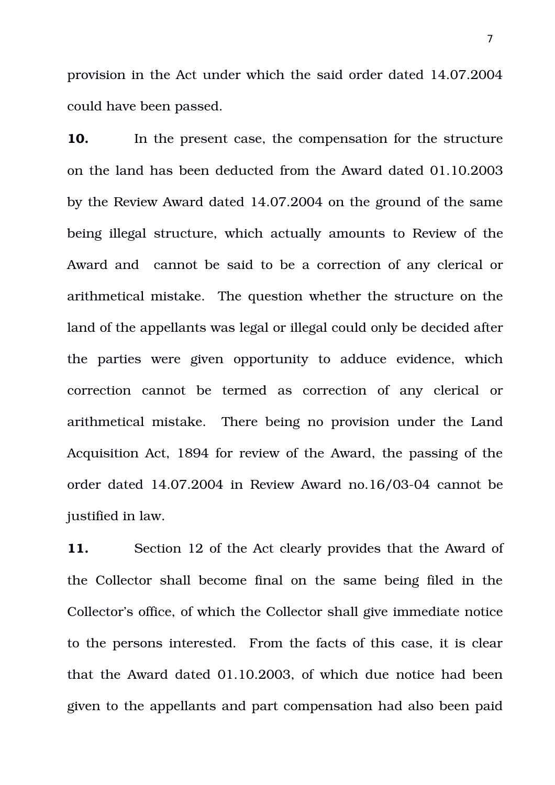provision in the Act under which the said order dated 14.07.2004 could have been passed.

**10.** In the present case, the compensation for the structure on the land has been deducted from the Award dated 01.10.2003 by the Review Award dated 14.07.2004 on the ground of the same being illegal structure, which actually amounts to Review of the Award and cannot be said to be a correction of any clerical or arithmetical mistake. The question whether the structure on the land of the appellants was legal or illegal could only be decided after the parties were given opportunity to adduce evidence, which correction cannot be termed as correction of any clerical or arithmetical mistake. There being no provision under the Land Acquisition Act, 1894 for review of the Award, the passing of the order dated  $14.07.2004$  in Review Award no.16/03-04 cannot be justified in law.

**11.** Section 12 of the Act clearly provides that the Award of the Collector shall become final on the same being filed in the Collector's office, of which the Collector shall give immediate notice to the persons interested. From the facts of this case, it is clear that the Award dated 01.10.2003, of which due notice had been given to the appellants and part compensation had also been paid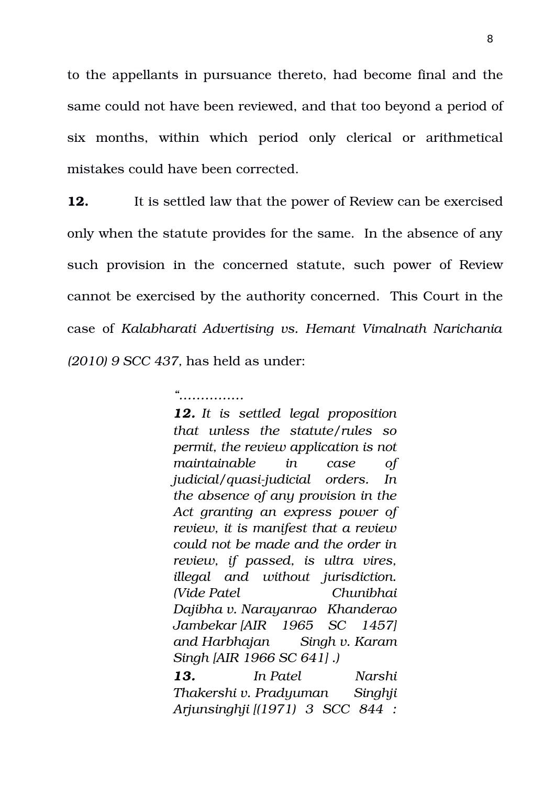to the appellants in pursuance thereto, had become final and the same could not have been reviewed, and that too beyond a period of six months, within which period only clerical or arithmetical mistakes could have been corrected.

**12.** It is settled law that the power of Review can be exercised only when the statute provides for the same. In the absence of any such provision in the concerned statute, such power of Review cannot be exercised by the authority concerned. This Court in the case of *Kalabharati Advertising vs. Hemant Vimalnath Narichania (2010) 9 SCC 437,* has held as under:

*"……………*

*12. It is settled legal proposition that unless the statute/rules so permit, the review application is not maintainable in case of judicial/quasi-judicial orders. In the absence of any provision in the Act granting an express power of review, it is manifest that a review could not be made and the order in review, if passed, is ultra vires, illegal and without jurisdiction. (Vide Patel Chunibhai Dajibha v. Narayanrao Khanderao Jambekar [AIR 1965 SC 1457] and Harbhajan Singh v. Karam Singh [AIR 1966 SC 641] .)*

*13. In Patel Narshi Thakershi v. Pradyuman Singhji Arjunsinghji [(1971) 3 SCC 844 :*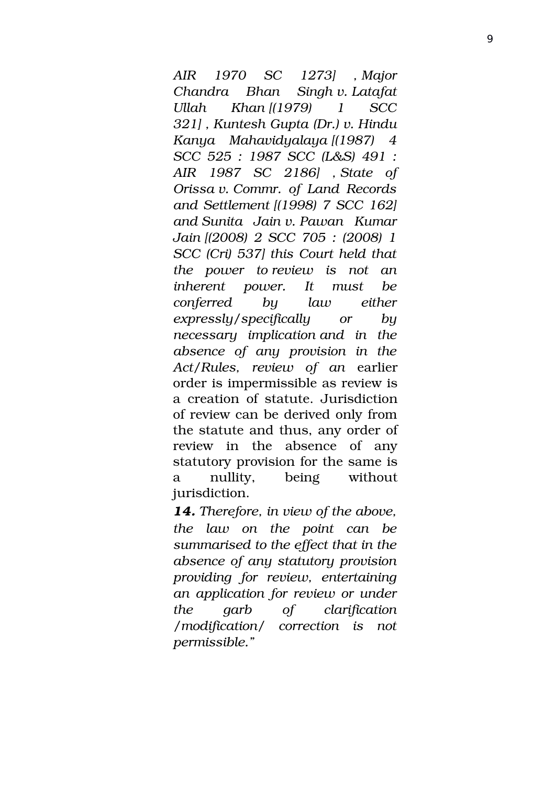*AIR 1970 SC 1273] , Major Chandra Bhan Singh v. Latafat Ullah Khan [(1979) 1 SCC 321] , Kuntesh Gupta (Dr.) v. Hindu Kanya Mahavidyalaya [(1987) 4 SCC 525 : 1987 SCC (L&S) 491 : AIR 1987 SC 2186] , State of Orissa v. Commr. of Land Records and Settlement [(1998) 7 SCC 162] and Sunita Jain v. Pawan Kumar Jain [(2008) 2 SCC 705 : (2008) 1 SCC (Cri) 537] this Court held that the power to review is not an inherent power. It must be conferred by law either expressly/specifically or by necessary implication and in the absence of any provision in the Act/Rules, review of an* earlier order is impermissible as review is a creation of statute. Jurisdiction of review can be derived only from the statute and thus, any order of review in the absence of any statutory provision for the same is a nullity, being without jurisdiction.

*14. Therefore, in view of the above, the law on the point can be summarised to the effect that in the absence of any statutory provision providing for review, entertaining an application for review or under the garb of clarification /modification/ correction is not permissible."*